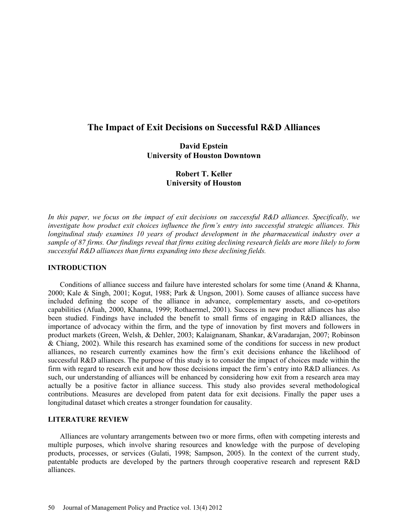# **The Impact of Exit Decisions on Successful R&D Alliances**

# **David Epstein University of Houston Downtown**

# **Robert T. Keller University of Houston**

*In this paper, we focus on the impact of exit decisions on successful R&D alliances. Specifically, we investigate how product exit choices influence the firm's entry into successful strategic alliances. This longitudinal study examines 10 years of product development in the pharmaceutical industry over a sample of 87 firms. Our findings reveal that firms exiting declining research fields are more likely to form successful R&D alliances than firms expanding into these declining fields.* 

## **INTRODUCTION**

Conditions of alliance success and failure have interested scholars for some time (Anand & Khanna, 2000; Kale & Singh, 2001; Kogut, 1988; Park & Ungson, 2001). Some causes of alliance success have included defining the scope of the alliance in advance, complementary assets, and co-opetitors capabilities (Afuah, 2000, Khanna, 1999; Rothaermel, 2001). Success in new product alliances has also been studied. Findings have included the benefit to small firms of engaging in R&D alliances, the importance of advocacy within the firm, and the type of innovation by first movers and followers in product markets (Green, Welsh, & Dehler, 2003; Kalaignanam, Shankar, &Varadarajan, 2007; Robinson & Chiang, 2002). While this research has examined some of the conditions for success in new product alliances, no research currently examines how the firm's exit decisions enhance the likelihood of successful R&D alliances. The purpose of this study is to consider the impact of choices made within the firm with regard to research exit and how those decisions impact the firm's entry into R&D alliances. As such, our understanding of alliances will be enhanced by considering how exit from a research area may actually be a positive factor in alliance success. This study also provides several methodological contributions. Measures are developed from patent data for exit decisions. Finally the paper uses a longitudinal dataset which creates a stronger foundation for causality.

## **LITERATURE REVIEW**

Alliances are voluntary arrangements between two or more firms, often with competing interests and multiple purposes, which involve sharing resources and knowledge with the purpose of developing products, processes, or services (Gulati, 1998; Sampson, 2005). In the context of the current study, patentable products are developed by the partners through cooperative research and represent R&D alliances.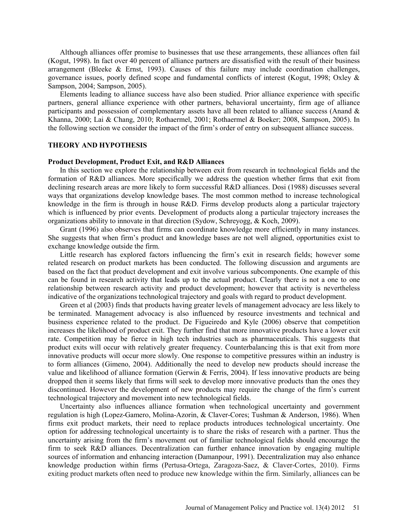Although alliances offer promise to businesses that use these arrangements, these alliances often fail (Kogut, 1998). In fact over 40 percent of alliance partners are dissatisfied with the result of their business arrangement (Bleeke  $\&$  Ernst, 1993). Causes of this failure may include coordination challenges, governance issues, poorly defined scope and fundamental conflicts of interest (Kogut, 1998; Oxley & Sampson, 2004; Sampson, 2005).

Elements leading to alliance success have also been studied. Prior alliance experience with specific partners, general alliance experience with other partners, behavioral uncertainty, firm age of alliance participants and possession of complementary assets have all been related to alliance success (Anand & Khanna, 2000; Lai & Chang, 2010; Rothaermel, 2001; Rothaermel & Boeker; 2008, Sampson, 2005). In the following section we consider the impact of the firm's order of entry on subsequent alliance success.

### **THEORY AND HYPOTHESIS**

#### **Product Development, Product Exit, and R&D Alliances**

In this section we explore the relationship between exit from research in technological fields and the formation of R&D alliances. More specifically we address the question whether firms that exit from declining research areas are more likely to form successful R&D alliances. Dosi (1988) discusses several ways that organizations develop knowledge bases. The most common method to increase technological knowledge in the firm is through in house R&D. Firms develop products along a particular trajectory which is influenced by prior events. Development of products along a particular trajectory increases the organizations ability to innovate in that direction (Sydow, Schreyogg, & Koch, 2009).

Grant (1996) also observes that firms can coordinate knowledge more efficiently in many instances. She suggests that when firm's product and knowledge bases are not well aligned, opportunities exist to exchange knowledge outside the firm.

Little research has explored factors influencing the firm's exit in research fields; however some related research on product markets has been conducted. The following discussion and arguments are based on the fact that product development and exit involve various subcomponents. One example of this can be found in research activity that leads up to the actual product. Clearly there is not a one to one relationship between research activity and product development; however that activity is nevertheless indicative of the organizations technological trajectory and goals with regard to product development.

Green et al (2003) finds that products having greater levels of management advocacy are less likely to be terminated. Management advocacy is also influenced by resource investments and technical and business experience related to the product. De Figueiredo and Kyle (2006) observe that competition increases the likelihood of product exit. They further find that more innovative products have a lower exit rate. Competition may be fierce in high tech industries such as pharmaceuticals. This suggests that product exits will occur with relatively greater frequency. Counterbalancing this is that exit from more innovative products will occur more slowly. One response to competitive pressures within an industry is to form alliances (Gimeno, 2004). Additionally the need to develop new products should increase the value and likelihood of alliance formation (Gerwin & Ferris, 2004). If less innovative products are being dropped then it seems likely that firms will seek to develop more innovative products than the ones they discontinued. However the development of new products may require the change of the firm's current technological trajectory and movement into new technological fields.

Uncertainty also influences alliance formation when technological uncertainty and government regulation is high (Lopez-Gamero, Molina-Azorin, & Claver-Cores; Tushman & Anderson, 1986). When firms exit product markets, their need to replace products introduces technological uncertainty. One option for addressing technological uncertainty is to share the risks of research with a partner. Thus the uncertainty arising from the firm's movement out of familiar technological fields should encourage the firm to seek R&D alliances. Decentralization can further enhance innovation by engaging multiple sources of information and enhancing interaction (Damanpour, 1991). Decentralization may also enhance knowledge production within firms (Pertusa-Ortega, Zaragoza-Saez, & Claver-Cortes, 2010). Firms exiting product markets often need to produce new knowledge within the firm. Similarly, alliances can be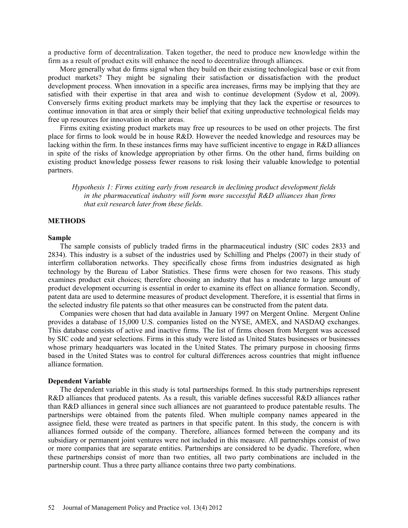a productive form of decentralization. Taken together, the need to produce new knowledge within the firm as a result of product exits will enhance the need to decentralize through alliances.

More generally what do firms signal when they build on their existing technological base or exit from product markets? They might be signaling their satisfaction or dissatisfaction with the product development process. When innovation in a specific area increases, firms may be implying that they are satisfied with their expertise in that area and wish to continue development (Sydow et al, 2009). Conversely firms exiting product markets may be implying that they lack the expertise or resources to continue innovation in that area or simply their belief that exiting unproductive technological fields may free up resources for innovation in other areas.

Firms exiting existing product markets may free up resources to be used on other projects. The first place for firms to look would be in house R&D. However the needed knowledge and resources may be lacking within the firm. In these instances firms may have sufficient incentive to engage in R&D alliances in spite of the risks of knowledge appropriation by other firms. On the other hand, firms building on existing product knowledge possess fewer reasons to risk losing their valuable knowledge to potential partners.

*Hypothesis 1: Firms exiting early from research in declining product development fields in the pharmaceutical industry will form more successful R&D alliances than firms that exit research later from these fields.*

### **METHODS**

#### **Sample**

The sample consists of publicly traded firms in the pharmaceutical industry (SIC codes 2833 and 2834). This industry is a subset of the industries used by Schilling and Phelps (2007) in their study of interfirm collaboration networks. They specifically chose firms from industries designated as high technology by the Bureau of Labor Statistics. These firms were chosen for two reasons. This study examines product exit choices; therefore choosing an industry that has a moderate to large amount of product development occurring is essential in order to examine its effect on alliance formation. Secondly, patent data are used to determine measures of product development. Therefore, it is essential that firms in the selected industry file patents so that other measures can be constructed from the patent data.

Companies were chosen that had data available in January 1997 on Mergent Online. Mergent Online provides a database of 15,000 U.S. companies listed on the NYSE, AMEX, and NASDAQ exchanges. This database consists of active and inactive firms. The list of firms chosen from Mergent was accessed by SIC code and year selections. Firms in this study were listed as United States businesses or businesses whose primary headquarters was located in the United States. The primary purpose in choosing firms based in the United States was to control for cultural differences across countries that might influence alliance formation.

#### **Dependent Variable**

The dependent variable in this study is total partnerships formed. In this study partnerships represent R&D alliances that produced patents. As a result, this variable defines successful R&D alliances rather than R&D alliances in general since such alliances are not guaranteed to produce patentable results. The partnerships were obtained from the patents filed. When multiple company names appeared in the assignee field, these were treated as partners in that specific patent. In this study, the concern is with alliances formed outside of the company. Therefore, alliances formed between the company and its subsidiary or permanent joint ventures were not included in this measure. All partnerships consist of two or more companies that are separate entities. Partnerships are considered to be dyadic. Therefore, when these partnerships consist of more than two entities, all two party combinations are included in the partnership count. Thus a three party alliance contains three two party combinations.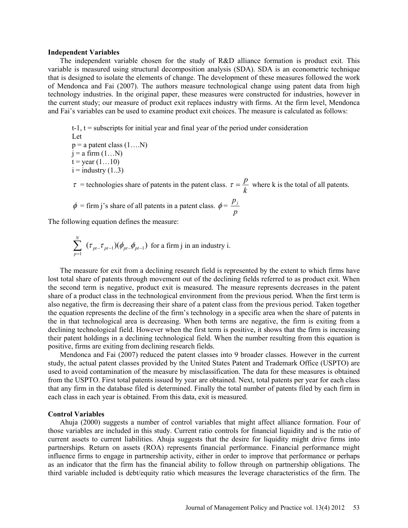#### **Independent Variables**

The independent variable chosen for the study of R&D alliance formation is product exit. This variable is measured using structural decomposition analysis (SDA). SDA is an econometric technique that is designed to isolate the elements of change. The development of these measures followed the work of Mendonca and Fai (2007). The authors measure technological change using patent data from high technology industries. In the original paper, these measures were constructed for industries, however in the current study; our measure of product exit replaces industry with firms. At the firm level, Mendonca and Fai's variables can be used to examine product exit choices. The measure is calculated as follows:

 $t-1$ ,  $t =$  subscripts for initial year and final year of the period under consideration Let  $p = a$  patent class  $(1...N)$  $j = a$  firm  $(1...N)$  $t = year (1...10)$  $i =$ industry  $(1..3)$  $\tau$  = technologies share of patents in the patent class.  $\tau = \frac{P}{k}$  $\tau = \frac{p}{l}$  where k is the total of all patents.  $\phi$  = firm j's share of all patents in a patent class.  $\phi$  = *p pj*

The following equation defines the measure:

$$
\sum_{p=1}^{N} (\tau_{pt-} \tau_{pt-1})(\phi_{pt-} \phi_{pt-1})
$$
 for a firm j in an industry i.

The measure for exit from a declining research field is represented by the extent to which firms have lost total share of patents through movement out of the declining fields referred to as product exit. When the second term is negative, product exit is measured. The measure represents decreases in the patent share of a product class in the technological environment from the previous period. When the first term is also negative, the firm is decreasing their share of a patent class from the previous period. Taken together the equation represents the decline of the firm's technology in a specific area when the share of patents in the in that technological area is decreasing. When both terms are negative, the firm is exiting from a declining technological field. However when the first term is positive, it shows that the firm is increasing their patent holdings in a declining technological field. When the number resulting from this equation is positive, firms are exiting from declining research fields.

Mendonca and Fai (2007) reduced the patent classes into 9 broader classes. However in the current study, the actual patent classes provided by the United States Patent and Trademark Office (USPTO) are used to avoid contamination of the measure by misclassification. The data for these measures is obtained from the USPTO. First total patents issued by year are obtained. Next, total patents per year for each class that any firm in the database filed is determined. Finally the total number of patents filed by each firm in each class in each year is obtained. From this data, exit is measured.

## **Control Variables**

Ahuja (2000) suggests a number of control variables that might affect alliance formation. Four of those variables are included in this study. Current ratio controls for financial liquidity and is the ratio of current assets to current liabilities. Ahuja suggests that the desire for liquidity might drive firms into partnerships. Return on assets (ROA) represents financial performance. Financial performance might influence firms to engage in partnership activity, either in order to improve that performance or perhaps as an indicator that the firm has the financial ability to follow through on partnership obligations. The third variable included is debt/equity ratio which measures the leverage characteristics of the firm. The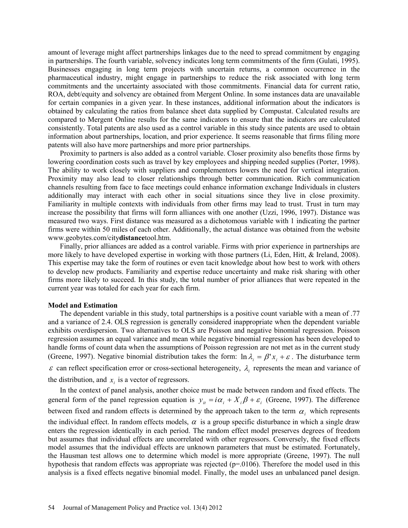amount of leverage might affect partnerships linkages due to the need to spread commitment by engaging in partnerships. The fourth variable, solvency indicates long term commitments of the firm (Gulati, 1995). Businesses engaging in long term projects with uncertain returns, a common occurrence in the pharmaceutical industry, might engage in partnerships to reduce the risk associated with long term commitments and the uncertainty associated with those commitments. Financial data for current ratio, ROA, debt/equity and solvency are obtained from Mergent Online. In some instances data are unavailable for certain companies in a given year. In these instances, additional information about the indicators is obtained by calculating the ratios from balance sheet data supplied by Compustat. Calculated results are compared to Mergent Online results for the same indicators to ensure that the indicators are calculated consistently. Total patents are also used as a control variable in this study since patents are used to obtain information about partnerships, location, and prior experience. It seems reasonable that firms filing more patents will also have more partnerships and more prior partnerships.

Proximity to partners is also added as a control variable. Closer proximity also benefits those firms by lowering coordination costs such as travel by key employees and shipping needed supplies (Porter, 1998). The ability to work closely with suppliers and complementors lowers the need for vertical integration. Proximity may also lead to closer relationships through better communication. Rich communication channels resulting from face to face meetings could enhance information exchange Individuals in clusters additionally may interact with each other in social situations since they live in close proximity. Familiarity in multiple contexts with individuals from other firms may lead to trust. Trust in turn may increase the possibility that firms will form alliances with one another (Uzzi, 1996, 1997). Distance was measured two ways. First distance was measured as a dichotomous variable with 1 indicating the partner firms were within 50 miles of each other. Additionally, the actual distance was obtained from the website www.geobytes.com/city**distance**tool.htm.

Finally, prior alliances are added as a control variable. Firms with prior experience in partnerships are more likely to have developed expertise in working with those partners (Li, Eden, Hitt, & Ireland, 2008). This expertise may take the form of routines or even tacit knowledge about how best to work with others to develop new products. Familiarity and expertise reduce uncertainty and make risk sharing with other firms more likely to succeed. In this study, the total number of prior alliances that were repeated in the current year was totaled for each year for each firm.

#### **Model and Estimation**

The dependent variable in this study, total partnerships is a positive count variable with a mean of .77 and a variance of 2.4. OLS regression is generally considered inappropriate when the dependent variable exhibits overdispersion. Two alternatives to OLS are Poisson and negative binomial regression. Poisson regression assumes an equal variance and mean while negative binomial regression has been developed to handle forms of count data when the assumptions of Poisson regression are not met as in the current study (Greene, 1997). Negative binomial distribution takes the form:  $\ln \lambda_i = \beta' x_i + \varepsilon$ . The disturbance term  $\varepsilon$  can reflect specification error or cross-sectional heterogeneity,  $\lambda_i$  represents the mean and variance of the distribution, and  $x_i$  is a vector of regressors.

In the context of panel analysis, another choice must be made between random and fixed effects. The general form of the panel regression equation is  $y_{it} = i\alpha_i + X_i\beta + \varepsilon_i$  (Greene, 1997). The difference between fixed and random effects is determined by the approach taken to the term  $\alpha_i$ , which represents the individual effect. In random effects models,  $\alpha$  is a group specific disturbance in which a single draw enters the regression identically in each period. The random effect model preserves degrees of freedom but assumes that individual effects are uncorrelated with other regressors. Conversely, the fixed effects model assumes that the individual effects are unknown parameters that must be estimated. Fortunately, the Hausman test allows one to determine which model is more appropriate (Greene, 1997). The null hypothesis that random effects was appropriate was rejected ( $p=0106$ ). Therefore the model used in this analysis is a fixed effects negative binomial model. Finally, the model uses an unbalanced panel design.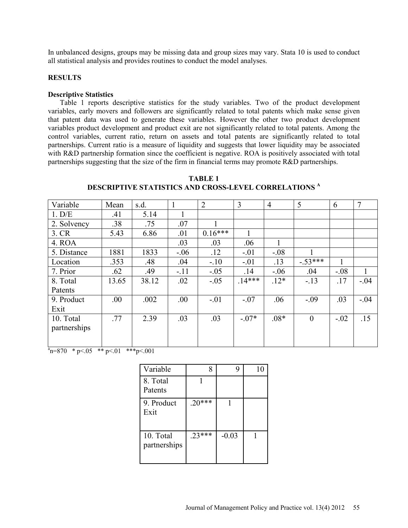In unbalanced designs, groups may be missing data and group sizes may vary. Stata 10 is used to conduct all statistical analysis and provides routines to conduct the model analyses.

## **RESULTS**

### **Descriptive Statistics**

Table 1 reports descriptive statistics for the study variables. Two of the product development variables, early movers and followers are significantly related to total patents which make sense given that patent data was used to generate these variables. However the other two product development variables product development and product exit are not significantly related to total patents. Among the control variables, current ratio, return on assets and total patents are significantly related to total partnerships. Current ratio is a measure of liquidity and suggests that lower liquidity may be associated with R&D partnership formation since the coefficient is negative. ROA is positively associated with total partnerships suggesting that the size of the firm in financial terms may promote R&D partnerships.

| Variable     | Mean  | s.d.  |         | $\overline{2}$ | 3       | $\overline{4}$ | 5        | 6      | $\overline{7}$ |
|--------------|-------|-------|---------|----------------|---------|----------------|----------|--------|----------------|
| 1. D/E       | .41   | 5.14  |         |                |         |                |          |        |                |
| 2. Solvency  | .38   | .75   | .07     |                |         |                |          |        |                |
| 3. CR        | 5.43  | 6.86  | .01     | $0.16***$      |         |                |          |        |                |
| 4. ROA       |       |       | .03     | .03            | .06     |                |          |        |                |
| 5. Distance  | 1881  | 1833  | $-0.06$ | .12            | $-.01$  | $-.08$         |          |        |                |
| Location     | .353  | .48   | .04     | $-.10$         | $-.01$  | .13            | $-53***$ |        |                |
| 7. Prior     | .62   | .49   | $-.11$  | $-.05$         | .14     | $-0.06$        | .04      | $-.08$ | 1              |
| 8. Total     | 13.65 | 38.12 | .02     | $-.05$         | $14***$ | $.12*$         | $-13$    | .17    | $-.04$         |
| Patents      |       |       |         |                |         |                |          |        |                |
| 9. Product   | .00.  | .002  | .00.    | $-.01$         | $-.07$  | .06            | $-.09$   | .03    | $-.04$         |
| Exit         |       |       |         |                |         |                |          |        |                |
| 10. Total    | .77   | 2.39  | .03     | .03            | $-.07*$ | $.08*$         | $\theta$ | $-.02$ | .15            |
| partnerships |       |       |         |                |         |                |          |        |                |
|              |       |       |         |                |         |                |          |        |                |
|              |       |       |         |                |         |                |          |        |                |

**TABLE 1 DESCRIPTIVE STATISTICS AND CROSS-LEVEL CORRELATIONS <sup>A</sup>**

 $a_n = 870$  \* p < 05 \* \* p < 01 \* \* \* p < 001

| Variable                  | 8        |         | 10 |
|---------------------------|----------|---------|----|
| 8. Total<br>Patents       |          |         |    |
| 9. Product<br>Exit        | $.20***$ |         |    |
| 10. Total<br>partnerships | $.23***$ | $-0.03$ |    |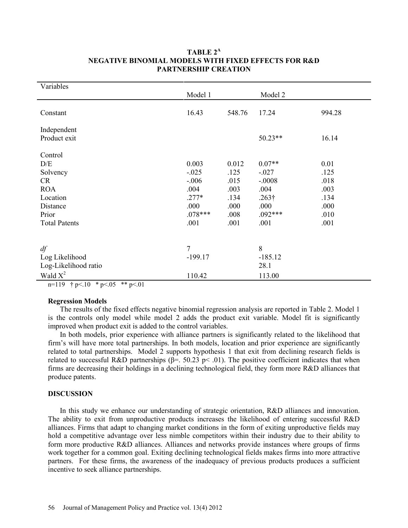| Variables                                                                                                      |                                                                             |                                                               |                                                                                       |                                                              |
|----------------------------------------------------------------------------------------------------------------|-----------------------------------------------------------------------------|---------------------------------------------------------------|---------------------------------------------------------------------------------------|--------------------------------------------------------------|
|                                                                                                                | Model 1                                                                     |                                                               | Model 2                                                                               |                                                              |
| Constant                                                                                                       | 16.43                                                                       | 548.76                                                        | 17.24                                                                                 | 994.28                                                       |
| Independent                                                                                                    |                                                                             |                                                               |                                                                                       |                                                              |
| Product exit                                                                                                   |                                                                             |                                                               | 50.23**                                                                               | 16.14                                                        |
| Control<br>D/E<br>Solvency<br><b>CR</b><br><b>ROA</b><br>Location<br>Distance<br>Prior<br><b>Total Patents</b> | 0.003<br>$-.025$<br>$-.006$<br>.004<br>$.277*$<br>.000<br>$.078***$<br>.001 | 0.012<br>.125<br>.015<br>.003<br>.134<br>.000<br>.008<br>.001 | $0.07**$<br>$-.027$<br>$-.0008$<br>.004<br>$.263\dagger$<br>.000<br>$.092***$<br>.001 | 0.01<br>.125<br>.018<br>.003<br>.134<br>.000<br>.010<br>.001 |
| df<br>Log Likelihood<br>Log-Likelihood ratio<br>Wald $X^2$                                                     | 7<br>$-199.17$<br>110.42                                                    |                                                               | 8<br>$-185.12$<br>28.1<br>113.00                                                      |                                                              |

# **TABLE 2<sup>A</sup> NEGATIVE BINOMIAL MODELS WITH FIXED EFFECTS FOR R&D PARTNERSHIP CREATION**

n=119  $\uparrow p < 10 \uparrow p < 05 \uparrow p < 01$ 

## **Regression Models**

The results of the fixed effects negative binomial regression analysis are reported in Table 2. Model 1 is the controls only model while model 2 adds the product exit variable. Model fit is significantly improved when product exit is added to the control variables.

In both models, prior experience with alliance partners is significantly related to the likelihood that firm's will have more total partnerships. In both models, location and prior experience are significantly related to total partnerships. Model 2 supports hypothesis 1 that exit from declining research fields is related to successful R&D partnerships ( $\beta$ =. 50.23 p < .01). The positive coefficient indicates that when firms are decreasing their holdings in a declining technological field, they form more R&D alliances that produce patents.

## **DISCUSSION**

In this study we enhance our understanding of strategic orientation, R&D alliances and innovation. The ability to exit from unproductive products increases the likelihood of entering successful R&D alliances. Firms that adapt to changing market conditions in the form of exiting unproductive fields may hold a competitive advantage over less nimble competitors within their industry due to their ability to form more productive R&D alliances. Alliances and networks provide instances where groups of firms work together for a common goal. Exiting declining technological fields makes firms into more attractive partners. For these firms, the awareness of the inadequacy of previous products produces a sufficient incentive to seek alliance partnerships.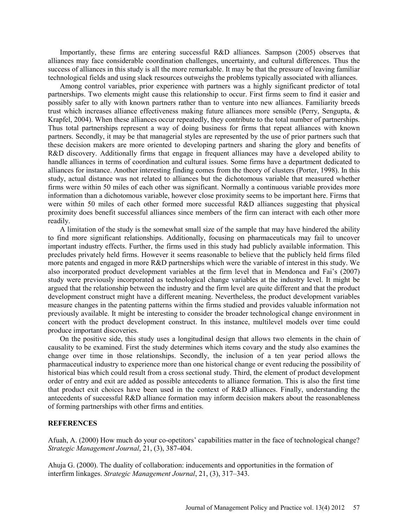Importantly, these firms are entering successful R&D alliances. Sampson (2005) observes that alliances may face considerable coordination challenges, uncertainty, and cultural differences. Thus the success of alliances in this study is all the more remarkable. It may be that the pressure of leaving familiar technological fields and using slack resources outweighs the problems typically associated with alliances.

Among control variables, prior experience with partners was a highly significant predictor of total partnerships. Two elements might cause this relationship to occur. First firms seem to find it easier and possibly safer to ally with known partners rather than to venture into new alliances. Familiarity breeds trust which increases alliance effectiveness making future alliances more sensible (Perry, Sengupta, & Krapfel, 2004). When these alliances occur repeatedly, they contribute to the total number of partnerships. Thus total partnerships represent a way of doing business for firms that repeat alliances with known partners. Secondly, it may be that managerial styles are represented by the use of prior partners such that these decision makers are more oriented to developing partners and sharing the glory and benefits of R&D discovery. Additionally firms that engage in frequent alliances may have a developed ability to handle alliances in terms of coordination and cultural issues. Some firms have a department dedicated to alliances for instance. Another interesting finding comes from the theory of clusters (Porter, 1998). In this study, actual distance was not related to alliances but the dichotomous variable that measured whether firms were within 50 miles of each other was significant. Normally a continuous variable provides more information than a dichotomous variable, however close proximity seems to be important here. Firms that were within 50 miles of each other formed more successful R&D alliances suggesting that physical proximity does benefit successful alliances since members of the firm can interact with each other more readily.

A limitation of the study is the somewhat small size of the sample that may have hindered the ability to find more significant relationships. Additionally, focusing on pharmaceuticals may fail to uncover important industry effects. Further, the firms used in this study had publicly available information. This precludes privately held firms. However it seems reasonable to believe that the publicly held firms filed more patents and engaged in more R&D partnerships which were the variable of interest in this study. We also incorporated product development variables at the firm level that in Mendonca and Fai's (2007) study were previously incorporated as technological change variables at the industry level. It might be argued that the relationship between the industry and the firm level are quite different and that the product development construct might have a different meaning. Nevertheless, the product development variables measure changes in the patenting patterns within the firms studied and provides valuable information not previously available. It might be interesting to consider the broader technological change environment in concert with the product development construct. In this instance, multilevel models over time could produce important discoveries.

On the positive side, this study uses a longitudinal design that allows two elements in the chain of causality to be examined. First the study determines which items covary and the study also examines the change over time in those relationships. Secondly, the inclusion of a ten year period allows the pharmaceutical industry to experience more than one historical change or event reducing the possibility of historical bias which could result from a cross sectional study. Third, the element of product development order of entry and exit are added as possible antecedents to alliance formation. This is also the first time that product exit choices have been used in the context of R&D alliances. Finally, understanding the antecedents of successful R&D alliance formation may inform decision makers about the reasonableness of forming partnerships with other firms and entities.

## **REFERENCES**

Afuah, A. (2000) How much do your co-opetitors' capabilities matter in the face of technological change? *Strategic Management Journal*, 21, (3), 387-404.

Ahuja G. (2000). The duality of collaboration: inducements and opportunities in the formation of interfirm linkages. *Strategic Management Journal*, 21, (3), 317–343.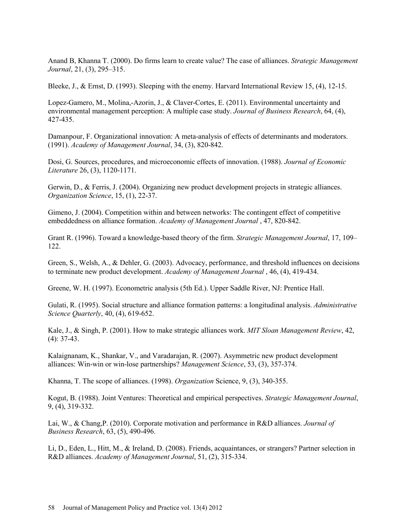Anand B, Khanna T. (2000). Do firms learn to create value? The case of alliances. *Strategic Management Journal*, 21, (3), 295–315.

Bleeke, J., & Ernst, D. (1993). Sleeping with the enemy. Harvard International Review 15, (4), 12-15.

Lopez-Gamero, M., Molina,-Azorin, J., & Claver-Cortes, E. (2011). Environmental uncertainty and environmental management perception: A multiple case study. *Journal of Business Research*, 64, (4), 427-435.

Damanpour, F. Organizational innovation: A meta-analysis of effects of determinants and moderators. (1991). *Academy of Management Journal*, 34, (3), 820-842.

Dosi, G. Sources, procedures, and microeconomic effects of innovation. (1988). *Journal of Economic Literature* 26, (3), 1120-1171.

Gerwin, D., & Ferris, J. (2004). Organizing new product development projects in strategic alliances. *Organization Science*, 15, (1), 22-37.

Gimeno, J. (2004). Competition within and between networks: The contingent effect of competitive embeddedness on alliance formation. *Academy of Management Journal* , 47, 820-842.

Grant R. (1996). Toward a knowledge-based theory of the firm. *Strategic Management Journal*, 17, 109– 122.

Green, S., Welsh, A., & Dehler, G. (2003). Advocacy, performance, and threshold influences on decisions to terminate new product development. *Academy of Management Journal* , 46, (4), 419-434.

Greene, W. H. (1997). Econometric analysis (5th Ed.). Upper Saddle River, NJ: Prentice Hall.

Gulati, R. (1995). Social structure and alliance formation patterns: a longitudinal analysis. *Administrative Science Quarterly*, 40, (4), 619-652.

Kale, J., & Singh, P. (2001). How to make strategic alliances work. *MIT Sloan Management Review*, 42, (4): 37-43.

Kalaignanam, K., Shankar, V., and Varadarajan, R. (2007). Asymmetric new product development alliances: Win-win or win-lose partnerships? *Management Science*, 53, (3), 357-374.

Khanna, T. The scope of alliances. (1998). *Organization* Science, 9, (3), 340-355.

Kogut, B. (1988). Joint Ventures: Theoretical and empirical perspectives. *Strategic Management Journal*, 9, (4), 319-332.

Lai, W., & Chang,P. (2010). Corporate motivation and performance in R&D alliances. *Journal of Business Research*, 63, (5), 490-496.

Li, D., Eden, L., Hitt, M., & Ireland, D. (2008). Friends, acquaintances, or strangers? Partner selection in R&D alliances. *Academy of Management Journal*, 51, (2), 315-334.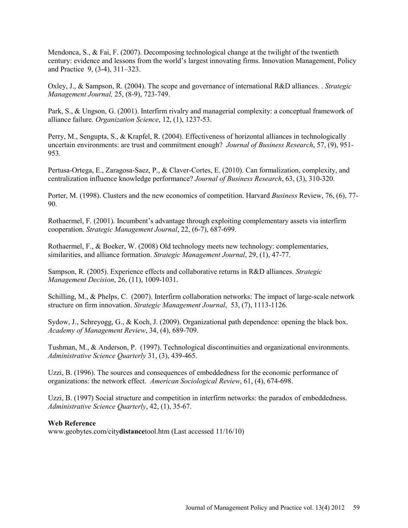Mendonca, S., & Fai, F. (2007). Decomposing technological change at the twilight of the twentieth century: evidence and lessons from the world's largest innovating firms. Innovation Management, Policy and Practice 9, (3-4), 311–323.

Oxley, J., & Sampson, R. (2004). The scope and governance of international R&D alliances. . *Strategic Management Journal,* 25, (8-9), 723-749.

Park, S., & Ungson, G. (2001). Interfirm rivalry and managerial complexity: a conceptual framework of alliance failure. *Organization Science*, 12, (1), 1237-53.

Perry, M., Sengupta, S., & Krapfel, R. (2004). Effectiveness of horizontal alliances in technologically uncertain environments: are trust and commitment enough? *Journal of Business Research*, 57, (9), 951- 953.

Pertusa-Ortega, E., Zaragosa-Saez, P., & Claver-Cortes, E. (2010). Can formalization, complexity, and centralization influence knowledge performance? *Journal of Business Research*, 63, (3), 310-320.

Porter, M. (1998). Clusters and the new economics of competition. Harvard *Business* Review, 76, (6), 77- 90.

Rothaermel, F. (2001). Incumbent's advantage through exploiting complementary assets via interfirm cooperation. *Strategic Management Journal*, 22, (6-7), 687-699.

Rothaermel, F., & Boeker, W. (2008) Old technology meets new technology: complementaries, similarities, and alliance formation. *Strategic Management Journal*, 29, (1), 47-77.

Sampson, R. (2005). Experience effects and collaborative returns in R&D alliances. *Strategic Management Decision*, 26, (11), 1009-1031.

Schilling, M., & Phelps, C. (2007). Interfirm collaboration networks: The impact of large-scale network structure on firm innovation. *Strategic Management Journal*, 53, (7), 1113-1126.

Sydow, J., Schreyogg, G., & Koch, J. (2009). Organizational path dependence: opening the black box. *Academy of Management Review*, 34, (4), 689-709.

Tushman, M., & Anderson, P. (1997). Technological discontinuities and organizational environments. *Administrative Science Quarterly* 31, (3), 439-465.

Uzzi, B. (1996). The sources and consequences of embeddedness for the economic performance of organizations: the network effect. *American Sociological Review*, 61, (4), 674-698.

Uzzi, B. (1997) Social structure and competition in interfirm networks: the paradox of embeddedness. *Administrative Science Quarterly*, 42, (1), 35-67.

## **Web Reference**

www.geobytes.com/city**distance**tool.htm (Last accessed 11/16/10)